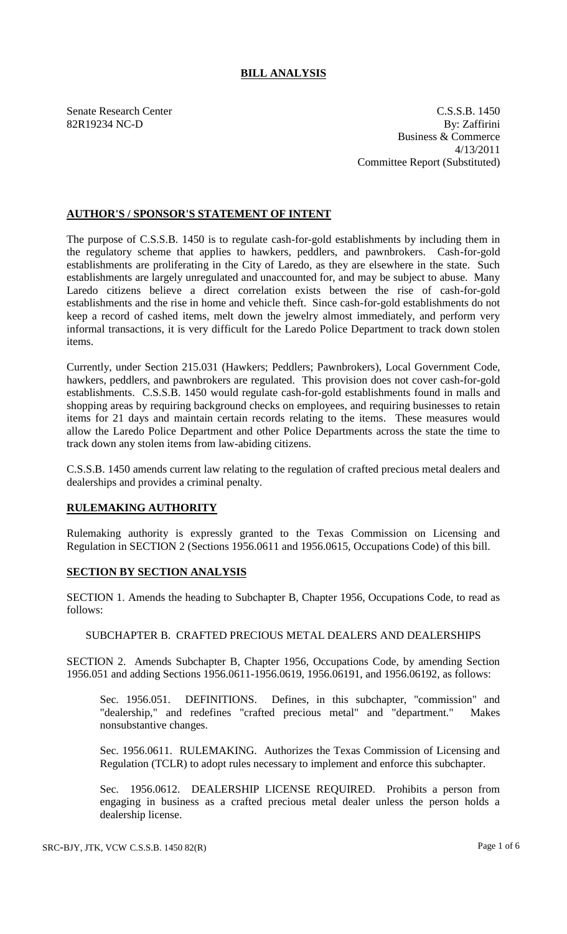# **BILL ANALYSIS**

Senate Research Center C.S.S.B. 1450 82R19234 NC-D By: Zaffirini Business & Commerce 4/13/2011 Committee Report (Substituted)

## **AUTHOR'S / SPONSOR'S STATEMENT OF INTENT**

The purpose of C.S.S.B. 1450 is to regulate cash-for-gold establishments by including them in the regulatory scheme that applies to hawkers, peddlers, and pawnbrokers. Cash-for-gold establishments are proliferating in the City of Laredo, as they are elsewhere in the state. Such establishments are largely unregulated and unaccounted for, and may be subject to abuse. Many Laredo citizens believe a direct correlation exists between the rise of cash-for-gold establishments and the rise in home and vehicle theft. Since cash-for-gold establishments do not keep a record of cashed items, melt down the jewelry almost immediately, and perform very informal transactions, it is very difficult for the Laredo Police Department to track down stolen items.

Currently, under Section 215.031 (Hawkers; Peddlers; Pawnbrokers), Local Government Code, hawkers, peddlers, and pawnbrokers are regulated. This provision does not cover cash-for-gold establishments. C.S.S.B. 1450 would regulate cash-for-gold establishments found in malls and shopping areas by requiring background checks on employees, and requiring businesses to retain items for 21 days and maintain certain records relating to the items. These measures would allow the Laredo Police Department and other Police Departments across the state the time to track down any stolen items from law-abiding citizens.

C.S.S.B. 1450 amends current law relating to the regulation of crafted precious metal dealers and dealerships and provides a criminal penalty.

### **RULEMAKING AUTHORITY**

Rulemaking authority is expressly granted to the Texas Commission on Licensing and Regulation in SECTION 2 (Sections 1956.0611 and 1956.0615, Occupations Code) of this bill.

### **SECTION BY SECTION ANALYSIS**

SECTION 1. Amends the heading to Subchapter B, Chapter 1956, Occupations Code, to read as follows:

### SUBCHAPTER B. CRAFTED PRECIOUS METAL DEALERS AND DEALERSHIPS

SECTION 2. Amends Subchapter B, Chapter 1956, Occupations Code, by amending Section 1956.051 and adding Sections 1956.0611-1956.0619, 1956.06191, and 1956.06192, as follows:

Sec. 1956.051. DEFINITIONS. Defines, in this subchapter, "commission" and "dealership," and redefines "crafted precious metal" and "department." Makes nonsubstantive changes.

Sec. 1956.0611. RULEMAKING. Authorizes the Texas Commission of Licensing and Regulation (TCLR) to adopt rules necessary to implement and enforce this subchapter.

Sec. 1956.0612. DEALERSHIP LICENSE REQUIRED. Prohibits a person from engaging in business as a crafted precious metal dealer unless the person holds a dealership license.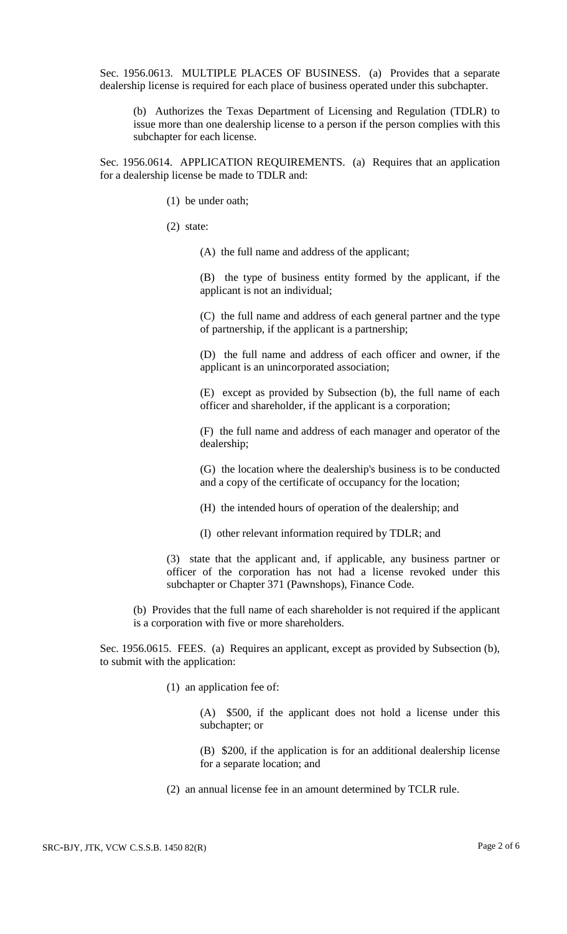Sec. 1956.0613. MULTIPLE PLACES OF BUSINESS. (a) Provides that a separate dealership license is required for each place of business operated under this subchapter.

(b) Authorizes the Texas Department of Licensing and Regulation (TDLR) to issue more than one dealership license to a person if the person complies with this subchapter for each license.

Sec. 1956.0614. APPLICATION REQUIREMENTS. (a) Requires that an application for a dealership license be made to TDLR and:

- (1) be under oath;
- (2) state:

(A) the full name and address of the applicant;

(B) the type of business entity formed by the applicant, if the applicant is not an individual;

(C) the full name and address of each general partner and the type of partnership, if the applicant is a partnership;

(D) the full name and address of each officer and owner, if the applicant is an unincorporated association;

(E) except as provided by Subsection (b), the full name of each officer and shareholder, if the applicant is a corporation;

(F) the full name and address of each manager and operator of the dealership;

(G) the location where the dealership's business is to be conducted and a copy of the certificate of occupancy for the location;

(H) the intended hours of operation of the dealership; and

(I) other relevant information required by TDLR; and

(3) state that the applicant and, if applicable, any business partner or officer of the corporation has not had a license revoked under this subchapter or Chapter 371 (Pawnshops), Finance Code.

(b) Provides that the full name of each shareholder is not required if the applicant is a corporation with five or more shareholders.

Sec. 1956.0615. FEES. (a) Requires an applicant, except as provided by Subsection (b), to submit with the application:

(1) an application fee of:

(A) \$500, if the applicant does not hold a license under this subchapter; or

(B) \$200, if the application is for an additional dealership license for a separate location; and

(2) an annual license fee in an amount determined by TCLR rule.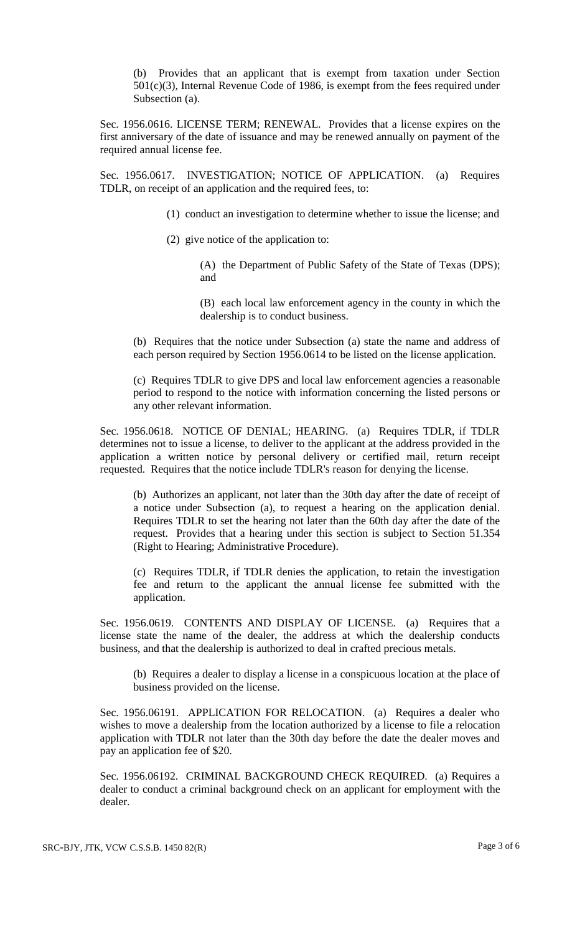(b) Provides that an applicant that is exempt from taxation under Section 501(c)(3), Internal Revenue Code of 1986, is exempt from the fees required under Subsection (a).

Sec. 1956.0616. LICENSE TERM; RENEWAL. Provides that a license expires on the first anniversary of the date of issuance and may be renewed annually on payment of the required annual license fee.

Sec. 1956.0617. INVESTIGATION; NOTICE OF APPLICATION. (a) Requires TDLR, on receipt of an application and the required fees, to:

- (1) conduct an investigation to determine whether to issue the license; and
- (2) give notice of the application to:

(A) the Department of Public Safety of the State of Texas (DPS); and

(B) each local law enforcement agency in the county in which the dealership is to conduct business.

(b) Requires that the notice under Subsection (a) state the name and address of each person required by Section 1956.0614 to be listed on the license application.

(c) Requires TDLR to give DPS and local law enforcement agencies a reasonable period to respond to the notice with information concerning the listed persons or any other relevant information.

Sec. 1956.0618. NOTICE OF DENIAL; HEARING. (a) Requires TDLR, if TDLR determines not to issue a license, to deliver to the applicant at the address provided in the application a written notice by personal delivery or certified mail, return receipt requested. Requires that the notice include TDLR's reason for denying the license.

(b) Authorizes an applicant, not later than the 30th day after the date of receipt of a notice under Subsection (a), to request a hearing on the application denial. Requires TDLR to set the hearing not later than the 60th day after the date of the request. Provides that a hearing under this section is subject to Section 51.354 (Right to Hearing; Administrative Procedure).

(c) Requires TDLR, if TDLR denies the application, to retain the investigation fee and return to the applicant the annual license fee submitted with the application.

Sec. 1956.0619. CONTENTS AND DISPLAY OF LICENSE. (a) Requires that a license state the name of the dealer, the address at which the dealership conducts business, and that the dealership is authorized to deal in crafted precious metals.

(b) Requires a dealer to display a license in a conspicuous location at the place of business provided on the license.

Sec. 1956.06191. APPLICATION FOR RELOCATION. (a) Requires a dealer who wishes to move a dealership from the location authorized by a license to file a relocation application with TDLR not later than the 30th day before the date the dealer moves and pay an application fee of \$20.

Sec. 1956.06192. CRIMINAL BACKGROUND CHECK REQUIRED. (a) Requires a dealer to conduct a criminal background check on an applicant for employment with the dealer.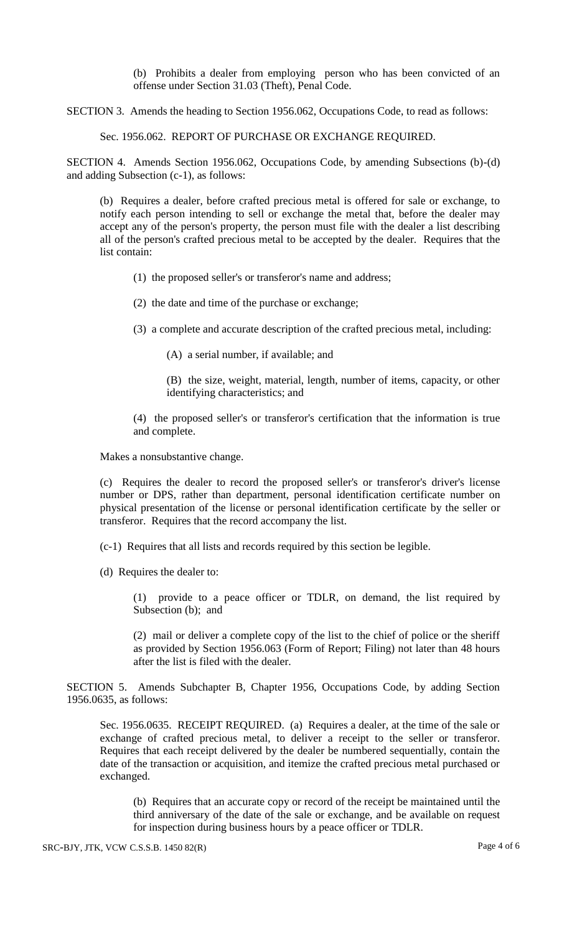(b) Prohibits a dealer from employing person who has been convicted of an offense under Section 31.03 (Theft), Penal Code.

SECTION 3. Amends the heading to Section 1956.062, Occupations Code, to read as follows:

Sec. 1956.062. REPORT OF PURCHASE OR EXCHANGE REQUIRED.

SECTION 4. Amends Section 1956.062, Occupations Code, by amending Subsections (b)-(d) and adding Subsection (c-1), as follows:

(b) Requires a dealer, before crafted precious metal is offered for sale or exchange, to notify each person intending to sell or exchange the metal that, before the dealer may accept any of the person's property, the person must file with the dealer a list describing all of the person's crafted precious metal to be accepted by the dealer. Requires that the list contain:

- (1) the proposed seller's or transferor's name and address;
- (2) the date and time of the purchase or exchange;
- (3) a complete and accurate description of the crafted precious metal, including:
	- (A) a serial number, if available; and

(B) the size, weight, material, length, number of items, capacity, or other identifying characteristics; and

(4) the proposed seller's or transferor's certification that the information is true and complete.

Makes a nonsubstantive change.

(c) Requires the dealer to record the proposed seller's or transferor's driver's license number or DPS, rather than department, personal identification certificate number on physical presentation of the license or personal identification certificate by the seller or transferor. Requires that the record accompany the list.

(c-1) Requires that all lists and records required by this section be legible.

(d) Requires the dealer to:

(1) provide to a peace officer or TDLR, on demand, the list required by Subsection (b); and

(2) mail or deliver a complete copy of the list to the chief of police or the sheriff as provided by Section 1956.063 (Form of Report; Filing) not later than 48 hours after the list is filed with the dealer.

SECTION 5. Amends Subchapter B, Chapter 1956, Occupations Code, by adding Section 1956.0635, as follows:

Sec. 1956.0635. RECEIPT REQUIRED. (a) Requires a dealer, at the time of the sale or exchange of crafted precious metal, to deliver a receipt to the seller or transferor. Requires that each receipt delivered by the dealer be numbered sequentially, contain the date of the transaction or acquisition, and itemize the crafted precious metal purchased or exchanged.

(b) Requires that an accurate copy or record of the receipt be maintained until the third anniversary of the date of the sale or exchange, and be available on request for inspection during business hours by a peace officer or TDLR.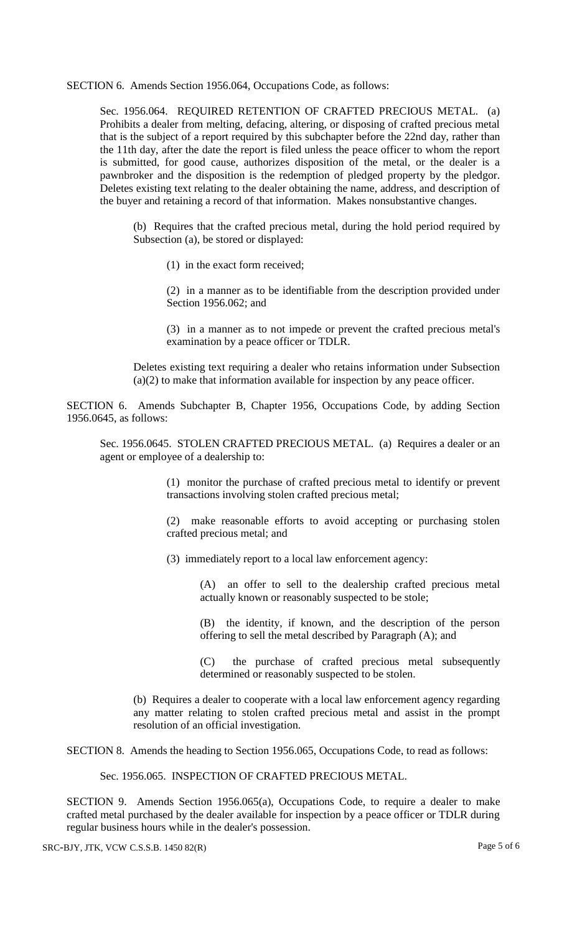SECTION 6. Amends Section 1956.064, Occupations Code, as follows:

Sec. 1956.064. REQUIRED RETENTION OF CRAFTED PRECIOUS METAL. (a) Prohibits a dealer from melting, defacing, altering, or disposing of crafted precious metal that is the subject of a report required by this subchapter before the 22nd day, rather than the 11th day, after the date the report is filed unless the peace officer to whom the report is submitted, for good cause, authorizes disposition of the metal, or the dealer is a pawnbroker and the disposition is the redemption of pledged property by the pledgor. Deletes existing text relating to the dealer obtaining the name, address, and description of the buyer and retaining a record of that information. Makes nonsubstantive changes.

(b) Requires that the crafted precious metal, during the hold period required by Subsection (a), be stored or displayed:

(1) in the exact form received;

(2) in a manner as to be identifiable from the description provided under Section 1956.062; and

(3) in a manner as to not impede or prevent the crafted precious metal's examination by a peace officer or TDLR.

Deletes existing text requiring a dealer who retains information under Subsection (a)(2) to make that information available for inspection by any peace officer.

SECTION 6. Amends Subchapter B, Chapter 1956, Occupations Code, by adding Section 1956.0645, as follows:

Sec. 1956.0645. STOLEN CRAFTED PRECIOUS METAL. (a) Requires a dealer or an agent or employee of a dealership to:

> (1) monitor the purchase of crafted precious metal to identify or prevent transactions involving stolen crafted precious metal;

> (2) make reasonable efforts to avoid accepting or purchasing stolen crafted precious metal; and

(3) immediately report to a local law enforcement agency:

(A) an offer to sell to the dealership crafted precious metal actually known or reasonably suspected to be stole;

(B) the identity, if known, and the description of the person offering to sell the metal described by Paragraph (A); and

(C) the purchase of crafted precious metal subsequently determined or reasonably suspected to be stolen.

(b) Requires a dealer to cooperate with a local law enforcement agency regarding any matter relating to stolen crafted precious metal and assist in the prompt resolution of an official investigation.

SECTION 8. Amends the heading to Section 1956.065, Occupations Code, to read as follows:

Sec. 1956.065. INSPECTION OF CRAFTED PRECIOUS METAL.

SECTION 9. Amends Section 1956.065(a), Occupations Code, to require a dealer to make crafted metal purchased by the dealer available for inspection by a peace officer or TDLR during regular business hours while in the dealer's possession.